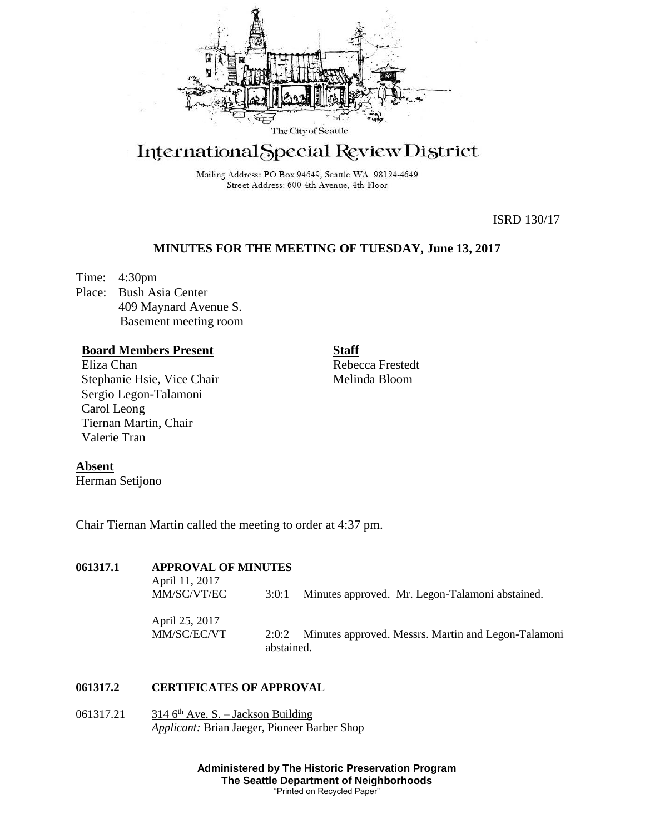

# International Special Review District

Mailing Address: PO Box 94649, Seattle WA 98124-4649 Street Address: 600 4th Avenue, 4th Floor

ISRD 130/17

# **MINUTES FOR THE MEETING OF TUESDAY, June 13, 2017**

Time: 4:30pm Place: Bush Asia Center 409 Maynard Avenue S. Basement meeting room

# **Board Members Present**

Eliza Chan Stephanie Hsie, Vice Chair Sergio Legon-Talamoni Carol Leong Tiernan Martin, Chair Valerie Tran

**Staff** Rebecca Frestedt Melinda Bloom

**Absent**

Herman Setijono

Chair Tiernan Martin called the meeting to order at 4:37 pm.

# **061317.1 APPROVAL OF MINUTES**

| April 11, 2017<br>MM/SC/VT/EC | 3:0:1               | Minutes approved. Mr. Legon-Talamoni abstained.     |
|-------------------------------|---------------------|-----------------------------------------------------|
| April 25, 2017<br>MM/SC/EC/VT | 2:0:2<br>abstained. | Minutes approved. Messrs. Martin and Legon-Talamoni |

# **061317.2 CERTIFICATES OF APPROVAL**

061317.21  $3146^{\text{th}}$  Ave. S. – Jackson Building *Applicant:* Brian Jaeger, Pioneer Barber Shop

> **Administered by The Historic Preservation Program The Seattle Department of Neighborhoods** "Printed on Recycled Paper"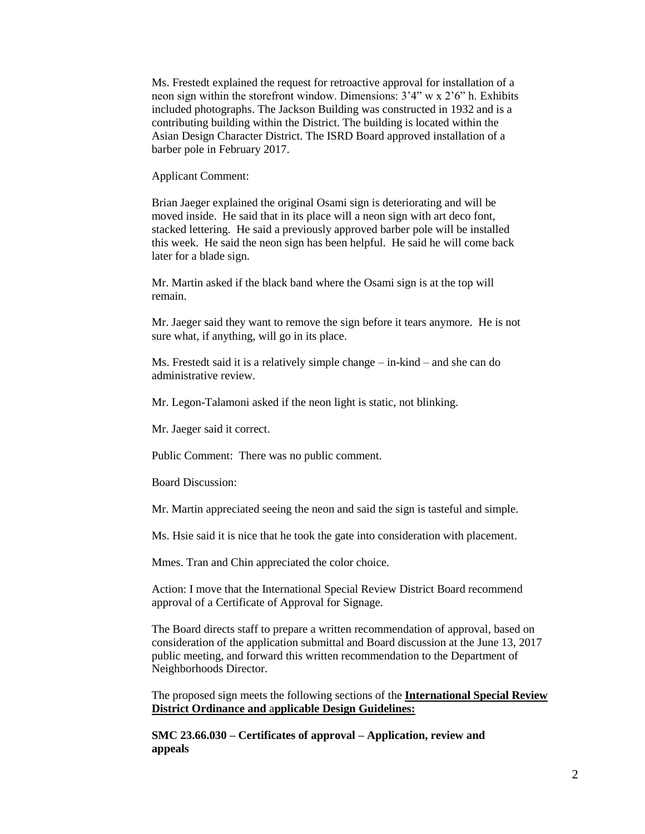Ms. Frestedt explained the request for retroactive approval for installation of a neon sign within the storefront window. Dimensions: 3'4" w x 2'6" h. Exhibits included photographs. The Jackson Building was constructed in 1932 and is a contributing building within the District. The building is located within the Asian Design Character District. The ISRD Board approved installation of a barber pole in February 2017.

Applicant Comment:

Brian Jaeger explained the original Osami sign is deteriorating and will be moved inside. He said that in its place will a neon sign with art deco font, stacked lettering. He said a previously approved barber pole will be installed this week. He said the neon sign has been helpful. He said he will come back later for a blade sign.

Mr. Martin asked if the black band where the Osami sign is at the top will remain.

Mr. Jaeger said they want to remove the sign before it tears anymore. He is not sure what, if anything, will go in its place.

Ms. Frestedt said it is a relatively simple change – in-kind – and she can do administrative review.

Mr. Legon-Talamoni asked if the neon light is static, not blinking.

Mr. Jaeger said it correct.

Public Comment: There was no public comment.

Board Discussion:

Mr. Martin appreciated seeing the neon and said the sign is tasteful and simple.

Ms. Hsie said it is nice that he took the gate into consideration with placement.

Mmes. Tran and Chin appreciated the color choice.

Action: I move that the International Special Review District Board recommend approval of a Certificate of Approval for Signage*.*

The Board directs staff to prepare a written recommendation of approval, based on consideration of the application submittal and Board discussion at the June 13, 2017 public meeting, and forward this written recommendation to the Department of Neighborhoods Director.

The proposed sign meets the following sections of the **International Special Review District Ordinance and** a**pplicable Design Guidelines:**

**SMC 23.66.030 – Certificates of approval – Application, review and appeals**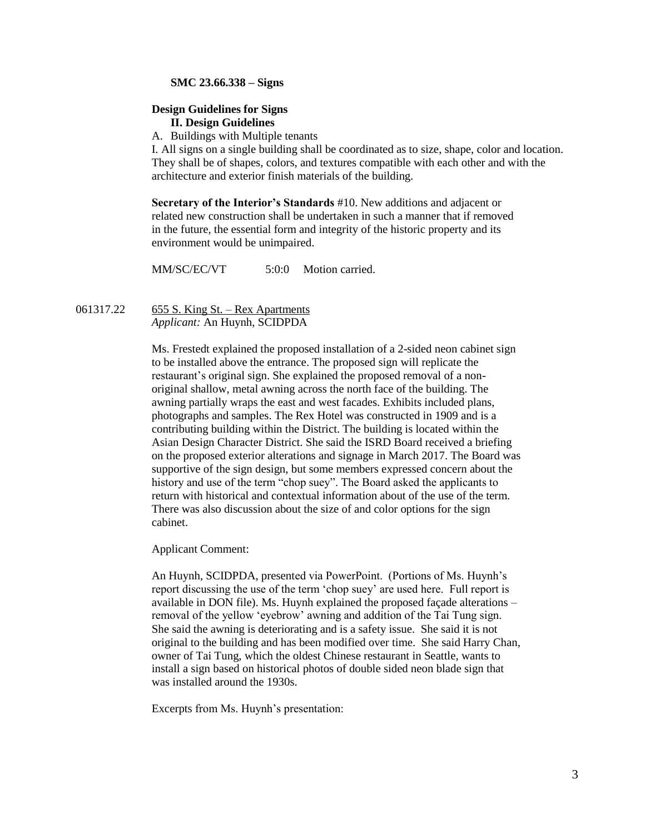#### **SMC 23.66.338 – Signs**

#### **Design Guidelines for Signs II. Design Guidelines**

A. Buildings with Multiple tenants

I. All signs on a single building shall be coordinated as to size, shape, color and location. They shall be of shapes, colors, and textures compatible with each other and with the architecture and exterior finish materials of the building.

**Secretary of the Interior's Standards** #10. New additions and adjacent or related new construction shall be undertaken in such a manner that if removed in the future, the essential form and integrity of the historic property and its environment would be unimpaired.

MM/SC/EC/VT 5:0:0 Motion carried.

061317.22 655 S. King St. – Rex Apartments *Applicant:* An Huynh, SCIDPDA

> Ms. Frestedt explained the proposed installation of a 2-sided neon cabinet sign to be installed above the entrance. The proposed sign will replicate the restaurant's original sign. She explained the proposed removal of a nonoriginal shallow, metal awning across the north face of the building. The awning partially wraps the east and west facades. Exhibits included plans, photographs and samples. The Rex Hotel was constructed in 1909 and is a contributing building within the District. The building is located within the Asian Design Character District. She said the ISRD Board received a briefing on the proposed exterior alterations and signage in March 2017. The Board was supportive of the sign design, but some members expressed concern about the history and use of the term "chop suey". The Board asked the applicants to return with historical and contextual information about of the use of the term. There was also discussion about the size of and color options for the sign cabinet.

Applicant Comment:

An Huynh, SCIDPDA, presented via PowerPoint. (Portions of Ms. Huynh's report discussing the use of the term 'chop suey' are used here. Full report is available in DON file). Ms. Huynh explained the proposed façade alterations – removal of the yellow 'eyebrow' awning and addition of the Tai Tung sign. She said the awning is deteriorating and is a safety issue. She said it is not original to the building and has been modified over time. She said Harry Chan, owner of Tai Tung, which the oldest Chinese restaurant in Seattle, wants to install a sign based on historical photos of double sided neon blade sign that was installed around the 1930s.

Excerpts from Ms. Huynh's presentation: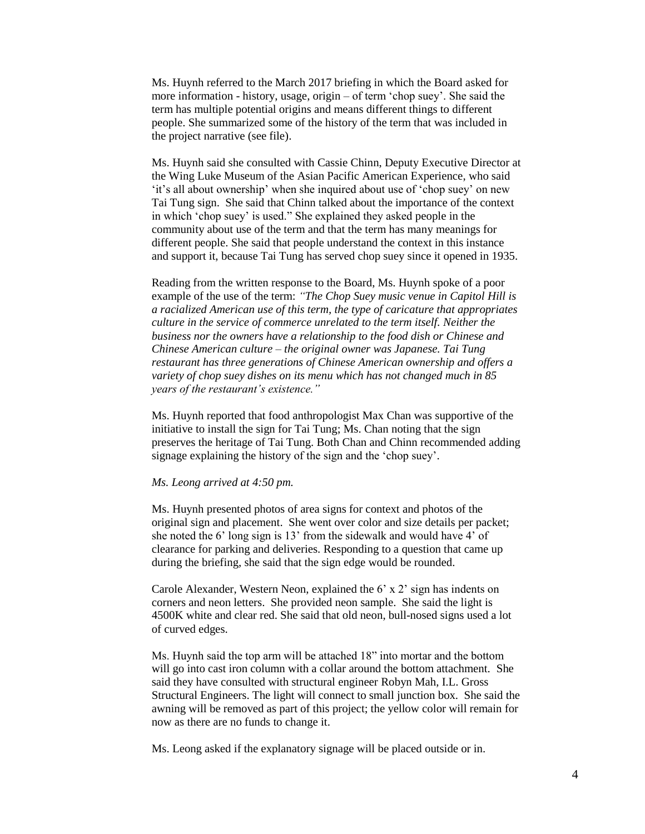Ms. Huynh referred to the March 2017 briefing in which the Board asked for more information - history, usage, origin – of term 'chop suey'. She said the term has multiple potential origins and means different things to different people. She summarized some of the history of the term that was included in the project narrative (see file).

Ms. Huynh said she consulted with Cassie Chinn, Deputy Executive Director at the Wing Luke Museum of the Asian Pacific American Experience, who said 'it's all about ownership' when she inquired about use of 'chop suey' on new Tai Tung sign. She said that Chinn talked about the importance of the context in which 'chop suey' is used." She explained they asked people in the community about use of the term and that the term has many meanings for different people. She said that people understand the context in this instance and support it, because Tai Tung has served chop suey since it opened in 1935.

Reading from the written response to the Board, Ms. Huynh spoke of a poor example of the use of the term: *"The Chop Suey music venue in Capitol Hill is a racialized American use of this term, the type of caricature that appropriates culture in the service of commerce unrelated to the term itself. Neither the business nor the owners have a relationship to the food dish or Chinese and Chinese American culture – the original owner was Japanese. Tai Tung restaurant has three generations of Chinese American ownership and offers a variety of chop suey dishes on its menu which has not changed much in 85 years of the restaurant's existence."*

Ms. Huynh reported that food anthropologist Max Chan was supportive of the initiative to install the sign for Tai Tung; Ms. Chan noting that the sign preserves the heritage of Tai Tung. Both Chan and Chinn recommended adding signage explaining the history of the sign and the 'chop suey'.

#### *Ms. Leong arrived at 4:50 pm.*

Ms. Huynh presented photos of area signs for context and photos of the original sign and placement. She went over color and size details per packet; she noted the 6' long sign is 13' from the sidewalk and would have 4' of clearance for parking and deliveries. Responding to a question that came up during the briefing, she said that the sign edge would be rounded.

Carole Alexander, Western Neon, explained the 6' x 2' sign has indents on corners and neon letters. She provided neon sample. She said the light is 4500K white and clear red. She said that old neon, bull-nosed signs used a lot of curved edges.

Ms. Huynh said the top arm will be attached 18" into mortar and the bottom will go into cast iron column with a collar around the bottom attachment. She said they have consulted with structural engineer Robyn Mah, I.L. Gross Structural Engineers. The light will connect to small junction box. She said the awning will be removed as part of this project; the yellow color will remain for now as there are no funds to change it.

Ms. Leong asked if the explanatory signage will be placed outside or in.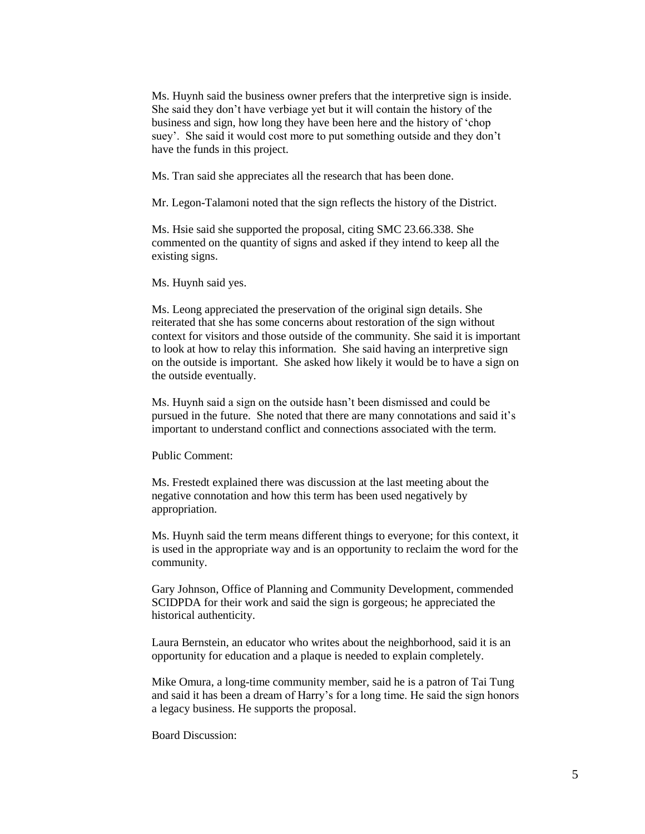Ms. Huynh said the business owner prefers that the interpretive sign is inside. She said they don't have verbiage yet but it will contain the history of the business and sign, how long they have been here and the history of 'chop suey'. She said it would cost more to put something outside and they don't have the funds in this project.

Ms. Tran said she appreciates all the research that has been done.

Mr. Legon-Talamoni noted that the sign reflects the history of the District.

Ms. Hsie said she supported the proposal, citing SMC 23.66.338. She commented on the quantity of signs and asked if they intend to keep all the existing signs.

Ms. Huynh said yes.

Ms. Leong appreciated the preservation of the original sign details. She reiterated that she has some concerns about restoration of the sign without context for visitors and those outside of the community. She said it is important to look at how to relay this information. She said having an interpretive sign on the outside is important. She asked how likely it would be to have a sign on the outside eventually.

Ms. Huynh said a sign on the outside hasn't been dismissed and could be pursued in the future. She noted that there are many connotations and said it's important to understand conflict and connections associated with the term.

Public Comment:

Ms. Frestedt explained there was discussion at the last meeting about the negative connotation and how this term has been used negatively by appropriation.

Ms. Huynh said the term means different things to everyone; for this context, it is used in the appropriate way and is an opportunity to reclaim the word for the community.

Gary Johnson, Office of Planning and Community Development, commended SCIDPDA for their work and said the sign is gorgeous; he appreciated the historical authenticity.

Laura Bernstein, an educator who writes about the neighborhood, said it is an opportunity for education and a plaque is needed to explain completely.

Mike Omura, a long-time community member, said he is a patron of Tai Tung and said it has been a dream of Harry's for a long time. He said the sign honors a legacy business. He supports the proposal.

Board Discussion: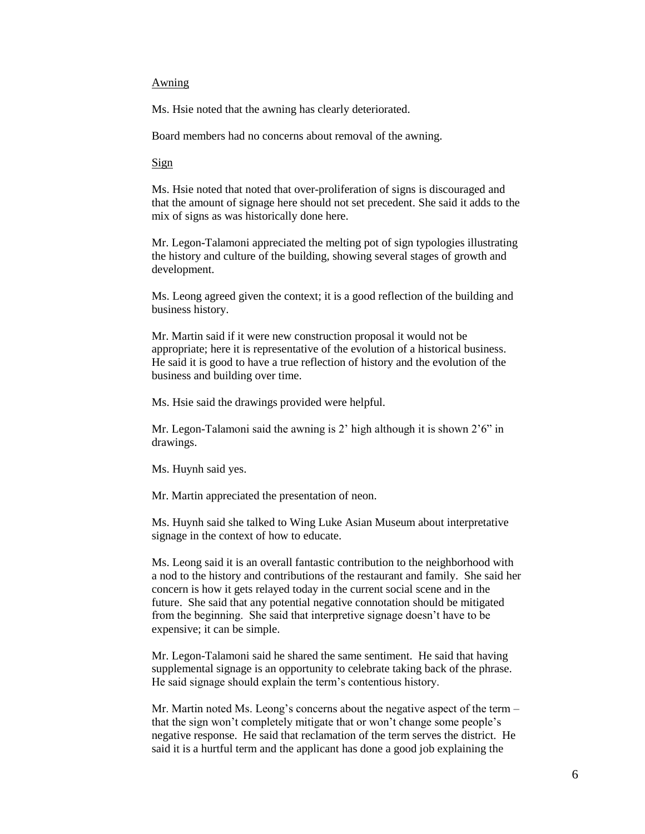#### Awning

Ms. Hsie noted that the awning has clearly deteriorated.

Board members had no concerns about removal of the awning.

Sign

Ms. Hsie noted that noted that over-proliferation of signs is discouraged and that the amount of signage here should not set precedent. She said it adds to the mix of signs as was historically done here.

Mr. Legon-Talamoni appreciated the melting pot of sign typologies illustrating the history and culture of the building, showing several stages of growth and development.

Ms. Leong agreed given the context; it is a good reflection of the building and business history.

Mr. Martin said if it were new construction proposal it would not be appropriate; here it is representative of the evolution of a historical business. He said it is good to have a true reflection of history and the evolution of the business and building over time.

Ms. Hsie said the drawings provided were helpful.

Mr. Legon-Talamoni said the awning is 2' high although it is shown 2'6" in drawings.

Ms. Huynh said yes.

Mr. Martin appreciated the presentation of neon.

Ms. Huynh said she talked to Wing Luke Asian Museum about interpretative signage in the context of how to educate.

Ms. Leong said it is an overall fantastic contribution to the neighborhood with a nod to the history and contributions of the restaurant and family. She said her concern is how it gets relayed today in the current social scene and in the future. She said that any potential negative connotation should be mitigated from the beginning. She said that interpretive signage doesn't have to be expensive; it can be simple.

Mr. Legon-Talamoni said he shared the same sentiment. He said that having supplemental signage is an opportunity to celebrate taking back of the phrase. He said signage should explain the term's contentious history.

Mr. Martin noted Ms. Leong's concerns about the negative aspect of the term – that the sign won't completely mitigate that or won't change some people's negative response. He said that reclamation of the term serves the district. He said it is a hurtful term and the applicant has done a good job explaining the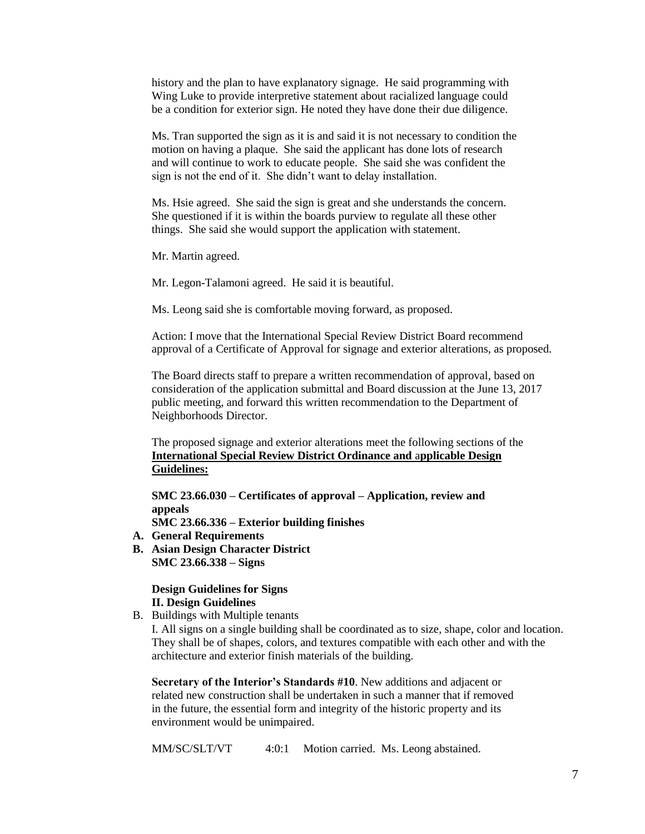history and the plan to have explanatory signage. He said programming with Wing Luke to provide interpretive statement about racialized language could be a condition for exterior sign. He noted they have done their due diligence.

Ms. Tran supported the sign as it is and said it is not necessary to condition the motion on having a plaque. She said the applicant has done lots of research and will continue to work to educate people. She said she was confident the sign is not the end of it. She didn't want to delay installation.

Ms. Hsie agreed. She said the sign is great and she understands the concern. She questioned if it is within the boards purview to regulate all these other things. She said she would support the application with statement.

Mr. Martin agreed.

Mr. Legon-Talamoni agreed. He said it is beautiful.

Ms. Leong said she is comfortable moving forward, as proposed.

Action: I move that the International Special Review District Board recommend approval of a Certificate of Approval for signage and exterior alterations, as proposed*.*

The Board directs staff to prepare a written recommendation of approval, based on consideration of the application submittal and Board discussion at the June 13, 2017 public meeting, and forward this written recommendation to the Department of Neighborhoods Director.

The proposed signage and exterior alterations meet the following sections of the **International Special Review District Ordinance and** a**pplicable Design Guidelines:**

**SMC 23.66.030 – Certificates of approval – Application, review and appeals**

**SMC 23.66.336 – Exterior building finishes**

- **A. General Requirements**
- **B. Asian Design Character District SMC 23.66.338 – Signs**

## **Design Guidelines for Signs II. Design Guidelines**

B. Buildings with Multiple tenants

I. All signs on a single building shall be coordinated as to size, shape, color and location. They shall be of shapes, colors, and textures compatible with each other and with the architecture and exterior finish materials of the building.

**Secretary of the Interior's Standards #10**. New additions and adjacent or related new construction shall be undertaken in such a manner that if removed in the future, the essential form and integrity of the historic property and its environment would be unimpaired.

MM/SC/SLT/VT 4:0:1 Motion carried. Ms. Leong abstained.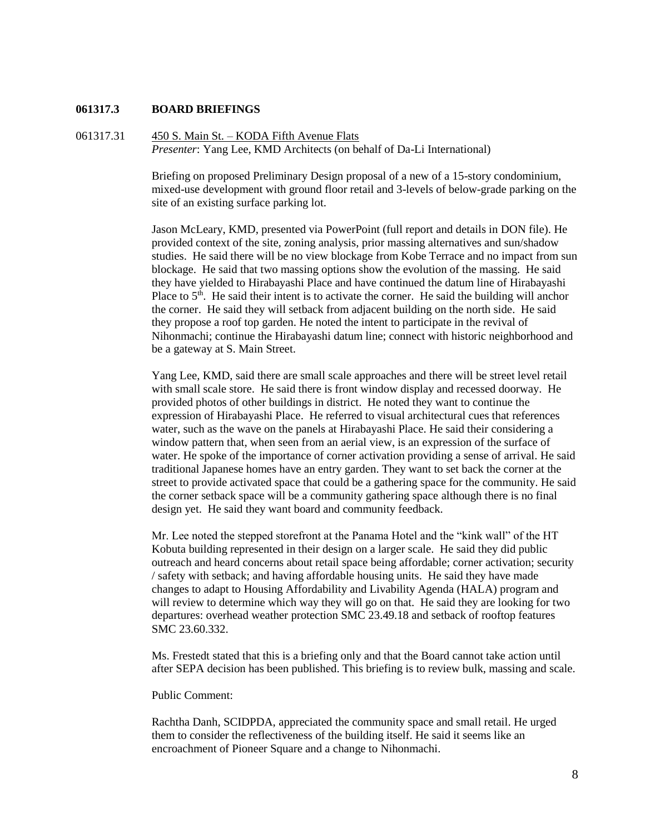## **061317.3 BOARD BRIEFINGS**

# 061317.31 450 S. Main St. – KODA Fifth Avenue Flats *Presenter*: Yang Lee, KMD Architects (on behalf of Da-Li International)

Briefing on proposed Preliminary Design proposal of a new of a 15-story condominium, mixed-use development with ground floor retail and 3-levels of below-grade parking on the site of an existing surface parking lot.

Jason McLeary, KMD, presented via PowerPoint (full report and details in DON file). He provided context of the site, zoning analysis, prior massing alternatives and sun/shadow studies. He said there will be no view blockage from Kobe Terrace and no impact from sun blockage. He said that two massing options show the evolution of the massing. He said they have yielded to Hirabayashi Place and have continued the datum line of Hirabayashi Place to  $5<sup>th</sup>$ . He said their intent is to activate the corner. He said the building will anchor the corner. He said they will setback from adjacent building on the north side. He said they propose a roof top garden. He noted the intent to participate in the revival of Nihonmachi; continue the Hirabayashi datum line; connect with historic neighborhood and be a gateway at S. Main Street.

Yang Lee, KMD, said there are small scale approaches and there will be street level retail with small scale store. He said there is front window display and recessed doorway. He provided photos of other buildings in district. He noted they want to continue the expression of Hirabayashi Place. He referred to visual architectural cues that references water, such as the wave on the panels at Hirabayashi Place. He said their considering a window pattern that, when seen from an aerial view, is an expression of the surface of water. He spoke of the importance of corner activation providing a sense of arrival. He said traditional Japanese homes have an entry garden. They want to set back the corner at the street to provide activated space that could be a gathering space for the community. He said the corner setback space will be a community gathering space although there is no final design yet. He said they want board and community feedback.

Mr. Lee noted the stepped storefront at the Panama Hotel and the "kink wall" of the HT Kobuta building represented in their design on a larger scale. He said they did public outreach and heard concerns about retail space being affordable; corner activation; security / safety with setback; and having affordable housing units. He said they have made changes to adapt to Housing Affordability and Livability Agenda (HALA) program and will review to determine which way they will go on that. He said they are looking for two departures: overhead weather protection SMC 23.49.18 and setback of rooftop features SMC 23.60.332.

Ms. Frestedt stated that this is a briefing only and that the Board cannot take action until after SEPA decision has been published. This briefing is to review bulk, massing and scale.

## Public Comment:

Rachtha Danh, SCIDPDA, appreciated the community space and small retail. He urged them to consider the reflectiveness of the building itself. He said it seems like an encroachment of Pioneer Square and a change to Nihonmachi.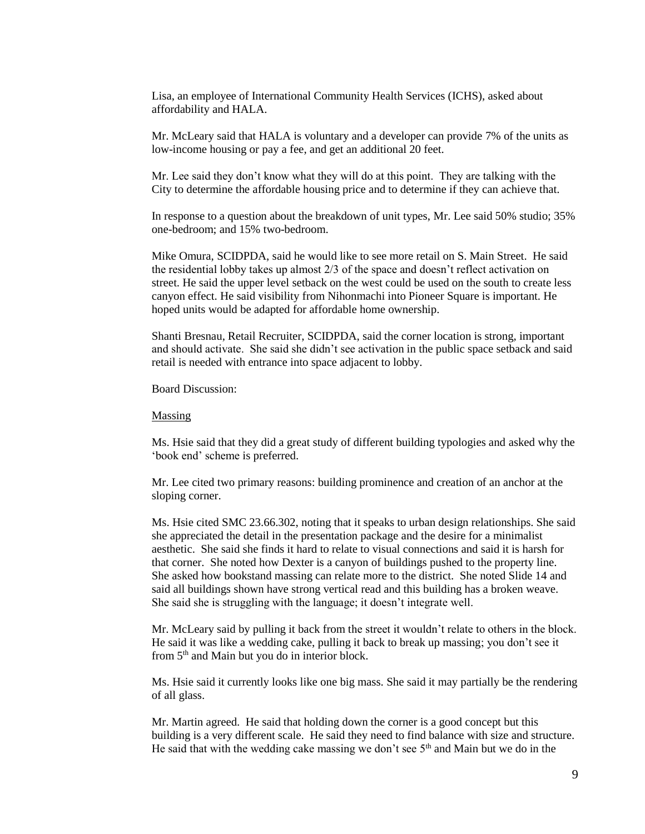Lisa, an employee of International Community Health Services (ICHS), asked about affordability and HALA.

Mr. McLeary said that HALA is voluntary and a developer can provide 7% of the units as low-income housing or pay a fee, and get an additional 20 feet.

Mr. Lee said they don't know what they will do at this point. They are talking with the City to determine the affordable housing price and to determine if they can achieve that.

In response to a question about the breakdown of unit types, Mr. Lee said 50% studio; 35% one-bedroom; and 15% two-bedroom.

Mike Omura, SCIDPDA, said he would like to see more retail on S. Main Street. He said the residential lobby takes up almost 2/3 of the space and doesn't reflect activation on street. He said the upper level setback on the west could be used on the south to create less canyon effect. He said visibility from Nihonmachi into Pioneer Square is important. He hoped units would be adapted for affordable home ownership.

Shanti Bresnau, Retail Recruiter, SCIDPDA, said the corner location is strong, important and should activate. She said she didn't see activation in the public space setback and said retail is needed with entrance into space adjacent to lobby.

Board Discussion:

#### Massing

Ms. Hsie said that they did a great study of different building typologies and asked why the 'book end' scheme is preferred.

Mr. Lee cited two primary reasons: building prominence and creation of an anchor at the sloping corner.

Ms. Hsie cited SMC 23.66.302, noting that it speaks to urban design relationships. She said she appreciated the detail in the presentation package and the desire for a minimalist aesthetic. She said she finds it hard to relate to visual connections and said it is harsh for that corner. She noted how Dexter is a canyon of buildings pushed to the property line. She asked how bookstand massing can relate more to the district. She noted Slide 14 and said all buildings shown have strong vertical read and this building has a broken weave. She said she is struggling with the language; it doesn't integrate well.

Mr. McLeary said by pulling it back from the street it wouldn't relate to others in the block. He said it was like a wedding cake, pulling it back to break up massing; you don't see it from 5<sup>th</sup> and Main but you do in interior block.

Ms. Hsie said it currently looks like one big mass. She said it may partially be the rendering of all glass.

Mr. Martin agreed. He said that holding down the corner is a good concept but this building is a very different scale. He said they need to find balance with size and structure. He said that with the wedding cake massing we don't see  $5<sup>th</sup>$  and Main but we do in the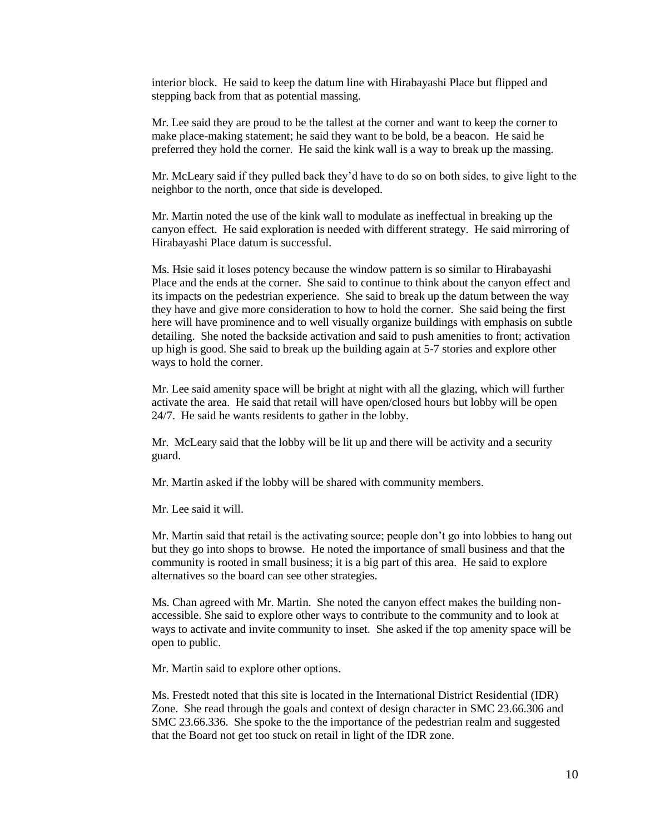interior block. He said to keep the datum line with Hirabayashi Place but flipped and stepping back from that as potential massing.

Mr. Lee said they are proud to be the tallest at the corner and want to keep the corner to make place-making statement; he said they want to be bold, be a beacon. He said he preferred they hold the corner. He said the kink wall is a way to break up the massing.

Mr. McLeary said if they pulled back they'd have to do so on both sides, to give light to the neighbor to the north, once that side is developed.

Mr. Martin noted the use of the kink wall to modulate as ineffectual in breaking up the canyon effect. He said exploration is needed with different strategy. He said mirroring of Hirabayashi Place datum is successful.

Ms. Hsie said it loses potency because the window pattern is so similar to Hirabayashi Place and the ends at the corner. She said to continue to think about the canyon effect and its impacts on the pedestrian experience. She said to break up the datum between the way they have and give more consideration to how to hold the corner. She said being the first here will have prominence and to well visually organize buildings with emphasis on subtle detailing. She noted the backside activation and said to push amenities to front; activation up high is good. She said to break up the building again at 5-7 stories and explore other ways to hold the corner.

Mr. Lee said amenity space will be bright at night with all the glazing, which will further activate the area. He said that retail will have open/closed hours but lobby will be open 24/7. He said he wants residents to gather in the lobby.

Mr. McLeary said that the lobby will be lit up and there will be activity and a security guard.

Mr. Martin asked if the lobby will be shared with community members.

Mr. Lee said it will.

Mr. Martin said that retail is the activating source; people don't go into lobbies to hang out but they go into shops to browse. He noted the importance of small business and that the community is rooted in small business; it is a big part of this area. He said to explore alternatives so the board can see other strategies.

Ms. Chan agreed with Mr. Martin. She noted the canyon effect makes the building nonaccessible. She said to explore other ways to contribute to the community and to look at ways to activate and invite community to inset. She asked if the top amenity space will be open to public.

Mr. Martin said to explore other options.

Ms. Frestedt noted that this site is located in the International District Residential (IDR) Zone. She read through the goals and context of design character in SMC 23.66.306 and SMC 23.66.336. She spoke to the the importance of the pedestrian realm and suggested that the Board not get too stuck on retail in light of the IDR zone.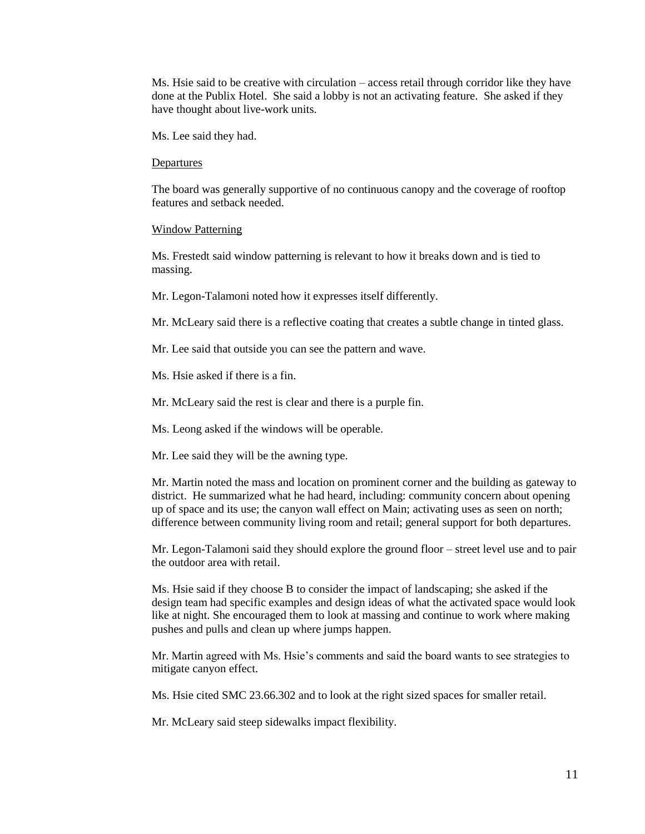Ms. Hsie said to be creative with circulation – access retail through corridor like they have done at the Publix Hotel. She said a lobby is not an activating feature. She asked if they have thought about live-work units.

Ms. Lee said they had.

#### **Departures**

The board was generally supportive of no continuous canopy and the coverage of rooftop features and setback needed.

#### Window Patterning

Ms. Frestedt said window patterning is relevant to how it breaks down and is tied to massing.

Mr. Legon-Talamoni noted how it expresses itself differently.

Mr. McLeary said there is a reflective coating that creates a subtle change in tinted glass.

Mr. Lee said that outside you can see the pattern and wave.

Ms. Hsie asked if there is a fin.

Mr. McLeary said the rest is clear and there is a purple fin.

Ms. Leong asked if the windows will be operable.

Mr. Lee said they will be the awning type.

Mr. Martin noted the mass and location on prominent corner and the building as gateway to district. He summarized what he had heard, including: community concern about opening up of space and its use; the canyon wall effect on Main; activating uses as seen on north; difference between community living room and retail; general support for both departures.

Mr. Legon-Talamoni said they should explore the ground floor – street level use and to pair the outdoor area with retail.

Ms. Hsie said if they choose B to consider the impact of landscaping; she asked if the design team had specific examples and design ideas of what the activated space would look like at night. She encouraged them to look at massing and continue to work where making pushes and pulls and clean up where jumps happen.

Mr. Martin agreed with Ms. Hsie's comments and said the board wants to see strategies to mitigate canyon effect.

Ms. Hsie cited SMC 23.66.302 and to look at the right sized spaces for smaller retail.

Mr. McLeary said steep sidewalks impact flexibility.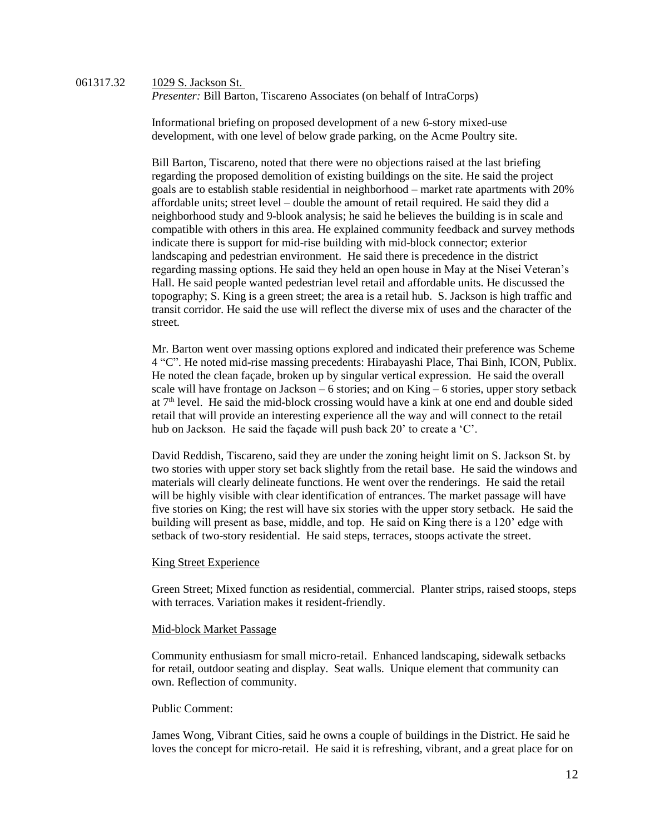061317.32 1029 S. Jackson St. *Presenter: Bill Barton, Tiscareno Associates (on behalf of IntraCorps)* 

> Informational briefing on proposed development of a new 6-story mixed-use development, with one level of below grade parking, on the Acme Poultry site.

Bill Barton, Tiscareno, noted that there were no objections raised at the last briefing regarding the proposed demolition of existing buildings on the site. He said the project goals are to establish stable residential in neighborhood – market rate apartments with 20% affordable units; street level – double the amount of retail required. He said they did a neighborhood study and 9-blook analysis; he said he believes the building is in scale and compatible with others in this area. He explained community feedback and survey methods indicate there is support for mid-rise building with mid-block connector; exterior landscaping and pedestrian environment. He said there is precedence in the district regarding massing options. He said they held an open house in May at the Nisei Veteran's Hall. He said people wanted pedestrian level retail and affordable units. He discussed the topography; S. King is a green street; the area is a retail hub. S. Jackson is high traffic and transit corridor. He said the use will reflect the diverse mix of uses and the character of the street.

Mr. Barton went over massing options explored and indicated their preference was Scheme 4 "C". He noted mid-rise massing precedents: Hirabayashi Place, Thai Binh, ICON, Publix. He noted the clean façade, broken up by singular vertical expression. He said the overall scale will have frontage on Jackson – 6 stories; and on King – 6 stories, upper story setback at  $7<sup>th</sup>$  level. He said the mid-block crossing would have a kink at one end and double sided retail that will provide an interesting experience all the way and will connect to the retail hub on Jackson. He said the façade will push back 20' to create a 'C'.

David Reddish, Tiscareno, said they are under the zoning height limit on S. Jackson St. by two stories with upper story set back slightly from the retail base. He said the windows and materials will clearly delineate functions. He went over the renderings. He said the retail will be highly visible with clear identification of entrances. The market passage will have five stories on King; the rest will have six stories with the upper story setback. He said the building will present as base, middle, and top. He said on King there is a 120' edge with setback of two-story residential. He said steps, terraces, stoops activate the street.

## King Street Experience

Green Street; Mixed function as residential, commercial. Planter strips, raised stoops, steps with terraces. Variation makes it resident-friendly.

## Mid-block Market Passage

Community enthusiasm for small micro-retail. Enhanced landscaping, sidewalk setbacks for retail, outdoor seating and display. Seat walls. Unique element that community can own. Reflection of community.

## Public Comment:

James Wong, Vibrant Cities, said he owns a couple of buildings in the District. He said he loves the concept for micro-retail. He said it is refreshing, vibrant, and a great place for on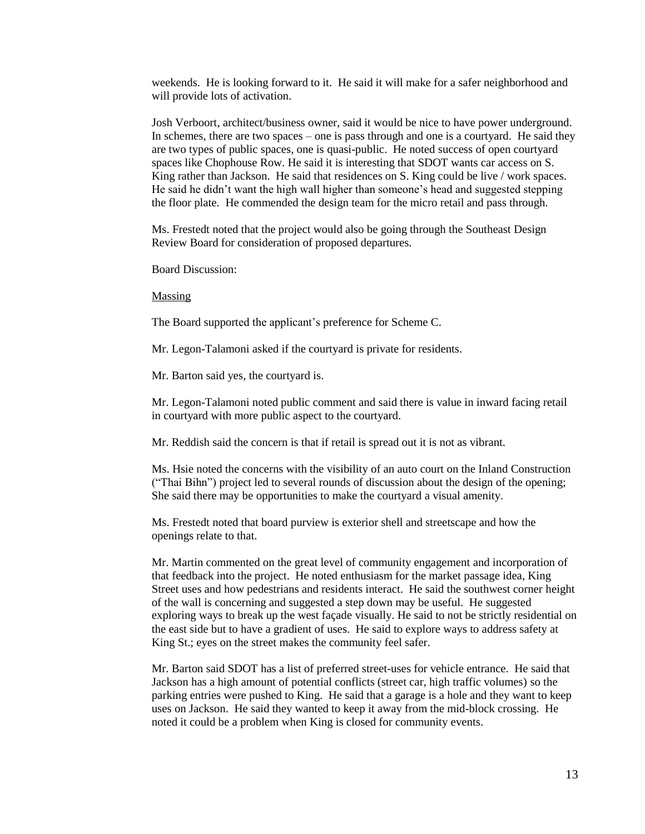weekends. He is looking forward to it. He said it will make for a safer neighborhood and will provide lots of activation.

Josh Verboort, architect/business owner, said it would be nice to have power underground. In schemes, there are two spaces – one is pass through and one is a courtyard. He said they are two types of public spaces, one is quasi-public. He noted success of open courtyard spaces like Chophouse Row. He said it is interesting that SDOT wants car access on S. King rather than Jackson. He said that residences on S. King could be live / work spaces. He said he didn't want the high wall higher than someone's head and suggested stepping the floor plate. He commended the design team for the micro retail and pass through.

Ms. Frestedt noted that the project would also be going through the Southeast Design Review Board for consideration of proposed departures.

Board Discussion:

Massing

The Board supported the applicant's preference for Scheme C.

Mr. Legon-Talamoni asked if the courtyard is private for residents.

Mr. Barton said yes, the courtyard is.

Mr. Legon-Talamoni noted public comment and said there is value in inward facing retail in courtyard with more public aspect to the courtyard.

Mr. Reddish said the concern is that if retail is spread out it is not as vibrant.

Ms. Hsie noted the concerns with the visibility of an auto court on the Inland Construction ("Thai Bihn") project led to several rounds of discussion about the design of the opening; She said there may be opportunities to make the courtyard a visual amenity.

Ms. Frestedt noted that board purview is exterior shell and streetscape and how the openings relate to that.

Mr. Martin commented on the great level of community engagement and incorporation of that feedback into the project. He noted enthusiasm for the market passage idea, King Street uses and how pedestrians and residents interact. He said the southwest corner height of the wall is concerning and suggested a step down may be useful. He suggested exploring ways to break up the west façade visually. He said to not be strictly residential on the east side but to have a gradient of uses. He said to explore ways to address safety at King St.; eyes on the street makes the community feel safer.

Mr. Barton said SDOT has a list of preferred street-uses for vehicle entrance. He said that Jackson has a high amount of potential conflicts (street car, high traffic volumes) so the parking entries were pushed to King. He said that a garage is a hole and they want to keep uses on Jackson. He said they wanted to keep it away from the mid-block crossing. He noted it could be a problem when King is closed for community events.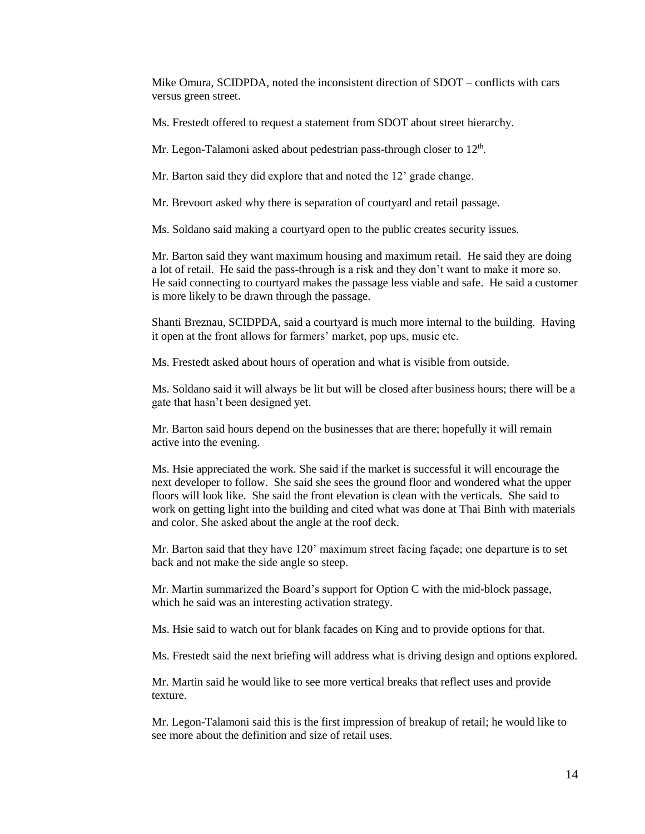Mike Omura, SCIDPDA, noted the inconsistent direction of SDOT – conflicts with cars versus green street.

Ms. Frestedt offered to request a statement from SDOT about street hierarchy.

Mr. Legon-Talamoni asked about pedestrian pass-through closer to  $12<sup>th</sup>$ .

Mr. Barton said they did explore that and noted the 12' grade change.

Mr. Brevoort asked why there is separation of courtyard and retail passage.

Ms. Soldano said making a courtyard open to the public creates security issues.

Mr. Barton said they want maximum housing and maximum retail. He said they are doing a lot of retail. He said the pass-through is a risk and they don't want to make it more so. He said connecting to courtyard makes the passage less viable and safe. He said a customer is more likely to be drawn through the passage.

Shanti Breznau, SCIDPDA, said a courtyard is much more internal to the building. Having it open at the front allows for farmers' market, pop ups, music etc.

Ms. Frestedt asked about hours of operation and what is visible from outside.

Ms. Soldano said it will always be lit but will be closed after business hours; there will be a gate that hasn't been designed yet.

Mr. Barton said hours depend on the businesses that are there; hopefully it will remain active into the evening.

Ms. Hsie appreciated the work. She said if the market is successful it will encourage the next developer to follow. She said she sees the ground floor and wondered what the upper floors will look like. She said the front elevation is clean with the verticals. She said to work on getting light into the building and cited what was done at Thai Binh with materials and color. She asked about the angle at the roof deck.

Mr. Barton said that they have 120' maximum street facing façade; one departure is to set back and not make the side angle so steep.

Mr. Martin summarized the Board's support for Option C with the mid-block passage, which he said was an interesting activation strategy.

Ms. Hsie said to watch out for blank facades on King and to provide options for that.

Ms. Frestedt said the next briefing will address what is driving design and options explored.

Mr. Martin said he would like to see more vertical breaks that reflect uses and provide texture.

Mr. Legon-Talamoni said this is the first impression of breakup of retail; he would like to see more about the definition and size of retail uses.